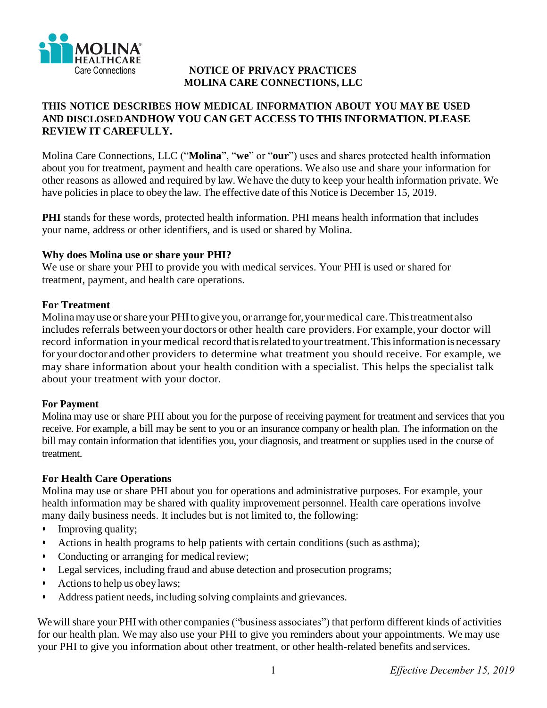

## Care Connections **NOTICE OF PRIVACY PRACTICES MOLINA CARE CONNECTIONS, LLC**

## **THIS NOTICE DESCRIBES HOW MEDICAL INFORMATION ABOUT YOU MAY BE USED AND DISCLOSEDANDHOW YOU CAN GET ACCESS TO THIS INFORMATION. PLEASE REVIEW IT CAREFULLY.**

Molina Care Connections, LLC ("**Molina**", "**we**" or "**our**") uses and shares protected health information about you for treatment, payment and health care operations. We also use and share your information for other reasons as allowed and required by law. We have the duty to keep your health information private. We have policies in place to obey the law. The effective date of this Notice is December 15, 2019.

**PHI** stands for these words, protected health information. PHI means health information that includes your name, address or other identifiers, and is used or shared by Molina.

## **Why does Molina use or share your PHI?**

We use or share your PHI to provide you with medical services. Your PHI is used or shared for treatment, payment, and health care operations.

### **For Treatment**

Molina mayuse orshare your PHI togive you, or arrange for,your medical care. This treatment also includes referrals between your doctors or other health care providers. For example, your doctor will record information inyour medical record that isrelated to your treatment. This information is necessary for your doctor and other providers to determine what treatment you should receive. For example, we may share information about your health condition with a specialist. This helps the specialist talk about your treatment with your doctor.

## **For Payment**

Molina may use or share PHI about you for the purpose of receiving payment for treatment and services that you receive. For example, a bill may be sent to you or an insurance company or health plan. The information on the bill may contain information that identifies you, your diagnosis, and treatment or supplies used in the course of treatment.

## **For Health Care Operations**

Molina may use or share PHI about you for operations and administrative purposes. For example, your health information may be shared with quality improvement personnel. Health care operations involve many daily business needs. It includes but is not limited to, the following:

- Improving quality;
- Actions in health programs to help patients with certain conditions (such as asthma);
- Conducting or arranging for medical review;
- Legal services, including fraud and abuse detection and prosecution programs;
- Actions to help us obey laws;
- Address patient needs, including solving complaints and grievances.

 for our health plan. We may also use your PHI to give you reminders about your appointments. We may use We will share your PHI with other companies ("business associates") that perform different kinds of activities your PHI to give you information about other treatment, or other health-related benefits and services.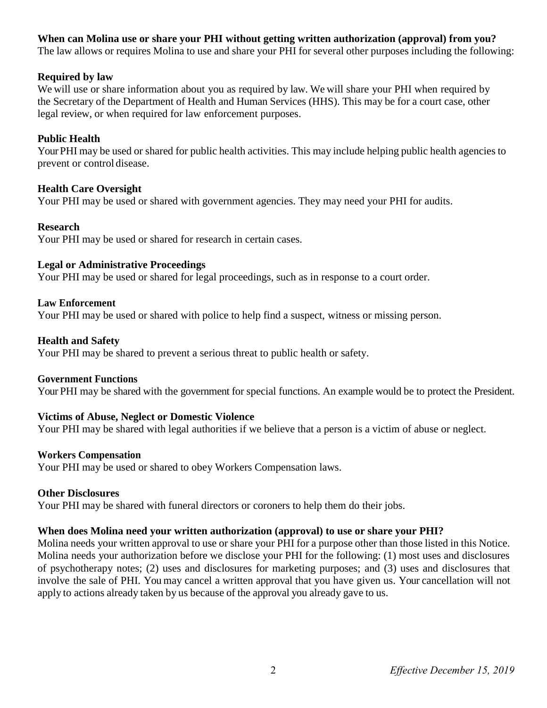# **When can Molina use or share your PHI without getting written authorization (approval) from you?**

The law allows or requires Molina to use and share your PHI for several other purposes including the following:

### **Required by law**

We will use or share information about you as required by law. We will share your PHI when required by the Secretary of the Department of Health and Human Services (HHS). This may be for a court case, other legal review, or when required for law enforcement purposes.

## **Public Health**

Your PHI may be used or shared for public health activities. This may include helping public health agencies to prevent or control disease.

### **Health Care Oversight**

Your PHI may be used or shared with government agencies. They may need your PHI for audits.

### **Research**

Your PHI may be used or shared for research in certain cases.

### **Legal or Administrative Proceedings**

Your PHI may be used or shared for legal proceedings, such as in response to a court order.

### **Law Enforcement**

Your PHI may be used or shared with police to help find a suspect, witness or missing person.

### **Health and Safety**

Your PHI may be shared to prevent a serious threat to public health or safety.

### **Government Functions**

Your PHI may be shared with the government for special functions. An example would be to protect the President.

## **Victims of Abuse, Neglect or Domestic Violence**

Your PHI may be shared with legal authorities if we believe that a person is a victim of abuse or neglect.

#### **Workers Compensation**

Your PHI may be used or shared to obey Workers Compensation laws.

#### **Other Disclosures**

Your PHI may be shared with funeral directors or coroners to help them do their jobs.

## **When does Molina need your written authorization (approval) to use or share your PHI?**

 Molina needs your written approval to use or share your PHI for a purpose other than those listed in this Notice. Molina needs your authorization before we disclose your PHI for the following: (1) most uses and disclosures of psychotherapy notes; (2) uses and disclosures for marketing purposes; and (3) uses and disclosures that involve the sale of PHI. You may cancel a written approval that you have given us. Your cancellation will not apply to actions already taken by us because of the approval you already gave to us.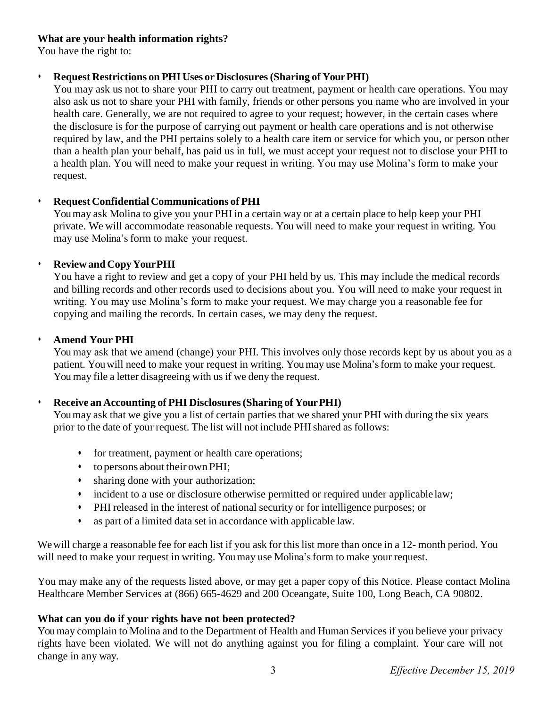## **What are your health information rights?**

You have the right to:

# **• Request Restrictions on PHI Uses or Disclosures (Sharing of YourPHI)**

 also ask us not to share your PHI with family, friends or other persons you name who are involved in your You may ask us not to share your PHI to carry out treatment, payment or health care operations. You may health care. Generally, we are not required to agree to your request; however, in the certain cases where the disclosure is for the purpose of carrying out payment or health care operations and is not otherwise required by law, and the PHI pertains solely to a health care item or service for which you, or person other than a health plan your behalf, has paid us in full, we must accept your request not to disclose your PHI to a health plan. You will need to make your request in writing. You may use Molina's form to make your request.

# **• Request Confidential Communications of PHI**

You may ask Molina to give you your PHI in a certain way or at a certain place to help keep your PHI private. We will accommodate reasonable requests. You will need to make your request in writing. You may use Molina's form to make your request.

# **• Review and CopyYourPHI**

You have a right to review and get a copy of your PHI held by us. This may include the medical records and billing records and other records used to decisions about you. You will need to make your request in writing. You may use Molina's form to make your request. We may charge you a reasonable fee for copying and mailing the records. In certain cases, we may deny the request.

# **• Amend Your PHI**

 You may ask that we amend (change) your PHI. This involves only those records kept by us about you as a patient. You will need to make your request in writing. You may use Molina's form to make your request. You may file a letter disagreeing with us if we deny the request.

# **• Receive an Accounting of PHI Disclosures (Sharing of YourPHI)**

You may ask that we give you a list of certain parties that we shared your PHI with during the six years prior to the date of your request. The list will not include PHI shared as follows:

- for treatment, payment or health care operations;
- • to persons about their own PHI;
- sharing done with your authorization;
- incident to a use or disclosure otherwise permitted or required under applicable law;
- • PHI released in the interest of national security or for intelligence purposes; or
- as part of a limited data set in accordance with applicable law.

We will charge a reasonable fee for each list if you ask for this list more than once in a 12- month period. You will need to make your request in writing. You may use Molina's form to make your request.

You may make any of the requests listed above, or may get a paper copy of this Notice. Please contact Molina Healthcare Member Services at (866) 665-4629 and 200 Oceangate, Suite 100, Long Beach, CA 90802.

## **What can you do if your rights have not been protected?**

 You may complain to Molina and to the Department of Health and Human Services if you believe your privacy rights have been violated. We will not do anything against you for filing a complaint. Your care will not change in any way.